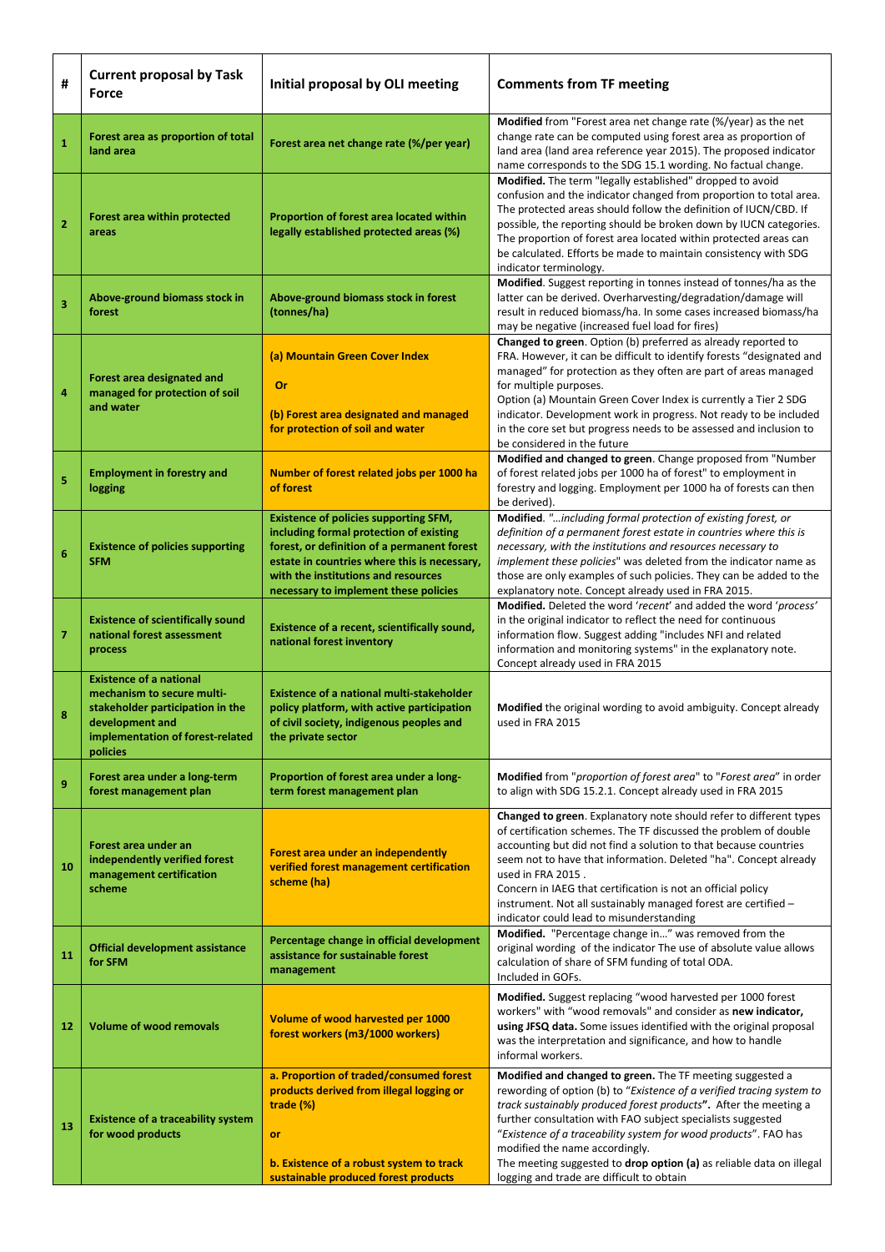| #                       | <b>Current proposal by Task</b><br>Force                                                                                                                            | Initial proposal by OLI meeting                                                                                                                                                                                                                                        | <b>Comments from TF meeting</b>                                                                                                                                                                                                                                                                                                                                                                                                                                                                 |
|-------------------------|---------------------------------------------------------------------------------------------------------------------------------------------------------------------|------------------------------------------------------------------------------------------------------------------------------------------------------------------------------------------------------------------------------------------------------------------------|-------------------------------------------------------------------------------------------------------------------------------------------------------------------------------------------------------------------------------------------------------------------------------------------------------------------------------------------------------------------------------------------------------------------------------------------------------------------------------------------------|
| $\mathbf{1}$            | Forest area as proportion of total<br>land area                                                                                                                     | Forest area net change rate (%/per year)                                                                                                                                                                                                                               | Modified from "Forest area net change rate (%/year) as the net<br>change rate can be computed using forest area as proportion of<br>land area (land area reference year 2015). The proposed indicator<br>name corresponds to the SDG 15.1 wording. No factual change.                                                                                                                                                                                                                           |
| $\overline{2}$          | <b>Forest area within protected</b><br>areas                                                                                                                        | Proportion of forest area located within<br>legally established protected areas (%)                                                                                                                                                                                    | Modified. The term "legally established" dropped to avoid<br>confusion and the indicator changed from proportion to total area.<br>The protected areas should follow the definition of IUCN/CBD. If<br>possible, the reporting should be broken down by IUCN categories.<br>The proportion of forest area located within protected areas can<br>be calculated. Efforts be made to maintain consistency with SDG<br>indicator terminology.                                                       |
| 3                       | Above-ground biomass stock in<br>forest                                                                                                                             | Above-ground biomass stock in forest<br>(tonnes/ha)                                                                                                                                                                                                                    | Modified. Suggest reporting in tonnes instead of tonnes/ha as the<br>latter can be derived. Overharvesting/degradation/damage will<br>result in reduced biomass/ha. In some cases increased biomass/ha<br>may be negative (increased fuel load for fires)                                                                                                                                                                                                                                       |
| 4                       | Forest area designated and<br>managed for protection of soil<br>and water                                                                                           | (a) Mountain Green Cover Index<br><b>Or</b><br>(b) Forest area designated and managed<br>for protection of soil and water                                                                                                                                              | Changed to green. Option (b) preferred as already reported to<br>FRA. However, it can be difficult to identify forests "designated and<br>managed" for protection as they often are part of areas managed<br>for multiple purposes.<br>Option (a) Mountain Green Cover Index is currently a Tier 2 SDG<br>indicator. Development work in progress. Not ready to be included<br>in the core set but progress needs to be assessed and inclusion to                                               |
| 5                       | <b>Employment in forestry and</b><br>logging                                                                                                                        | Number of forest related jobs per 1000 ha<br>of forest                                                                                                                                                                                                                 | be considered in the future<br>Modified and changed to green. Change proposed from "Number<br>of forest related jobs per 1000 ha of forest" to employment in<br>forestry and logging. Employment per 1000 ha of forests can then<br>be derived).                                                                                                                                                                                                                                                |
| $6\phantom{1}6$         | <b>Existence of policies supporting</b><br><b>SFM</b>                                                                                                               | <b>Existence of policies supporting SFM,</b><br>including formal protection of existing<br>forest, or definition of a permanent forest<br>estate in countries where this is necessary,<br>with the institutions and resources<br>necessary to implement these policies | Modified. "including formal protection of existing forest, or<br>definition of a permanent forest estate in countries where this is<br>necessary, with the institutions and resources necessary to<br>implement these policies" was deleted from the indicator name as<br>those are only examples of such policies. They can be added to the<br>explanatory note. Concept already used in FRA 2015.                                                                                             |
| $\overline{\mathbf{z}}$ | <b>Existence of scientifically sound</b><br>national forest assessment<br>process                                                                                   | Existence of a recent, scientifically sound,<br>national forest inventory                                                                                                                                                                                              | Modified. Deleted the word 'recent' and added the word 'process'<br>in the original indicator to reflect the need for continuous<br>information flow. Suggest adding "includes NFI and related<br>information and monitoring systems" in the explanatory note.<br>Concept already used in FRA 2015                                                                                                                                                                                              |
| 8                       | <b>Existence of a national</b><br>mechanism to secure multi-<br>stakeholder participation in the<br>development and<br>implementation of forest-related<br>policies | <b>Existence of a national multi-stakeholder</b><br>policy platform, with active participation<br>of civil society, indigenous peoples and<br>the private sector                                                                                                       | Modified the original wording to avoid ambiguity. Concept already<br>used in FRA 2015                                                                                                                                                                                                                                                                                                                                                                                                           |
| 9                       | Forest area under a long-term<br>forest management plan                                                                                                             | Proportion of forest area under a long-<br>term forest management plan                                                                                                                                                                                                 | Modified from "proportion of forest area" to "Forest area" in order<br>to align with SDG 15.2.1. Concept already used in FRA 2015                                                                                                                                                                                                                                                                                                                                                               |
| 10                      | Forest area under an<br>independently verified forest<br>management certification<br>scheme                                                                         | Forest area under an independently<br>verified forest management certification<br>scheme (ha)                                                                                                                                                                          | Changed to green. Explanatory note should refer to different types<br>of certification schemes. The TF discussed the problem of double<br>accounting but did not find a solution to that because countries<br>seem not to have that information. Deleted "ha". Concept already<br>used in FRA 2015.<br>Concern in IAEG that certification is not an official policy<br>instrument. Not all sustainably managed forest are certified -<br>indicator could lead to misunderstanding               |
| 11                      | <b>Official development assistance</b><br>for SFM                                                                                                                   | Percentage change in official development<br>assistance for sustainable forest<br>management                                                                                                                                                                           | Modified. "Percentage change in" was removed from the<br>original wording of the indicator The use of absolute value allows<br>calculation of share of SFM funding of total ODA.<br>Included in GOFs.                                                                                                                                                                                                                                                                                           |
| 12                      | <b>Volume of wood removals</b>                                                                                                                                      | Volume of wood harvested per 1000<br>forest workers (m3/1000 workers)                                                                                                                                                                                                  | Modified. Suggest replacing "wood harvested per 1000 forest<br>workers" with "wood removals" and consider as new indicator,<br>using JFSQ data. Some issues identified with the original proposal<br>was the interpretation and significance, and how to handle<br>informal workers.                                                                                                                                                                                                            |
| 13                      | <b>Existence of a traceability system</b><br>for wood products                                                                                                      | a. Proportion of traded/consumed forest<br>products derived from illegal logging or<br>trade (%)<br>or<br>b. Existence of a robust system to track<br>sustainable produced forest products                                                                             | Modified and changed to green. The TF meeting suggested a<br>rewording of option (b) to "Existence of a verified tracing system to<br>track sustainably produced forest products". After the meeting a<br>further consultation with FAO subject specialists suggested<br>"Existence of a traceability system for wood products". FAO has<br>modified the name accordingly.<br>The meeting suggested to drop option (a) as reliable data on illegal<br>logging and trade are difficult to obtain |